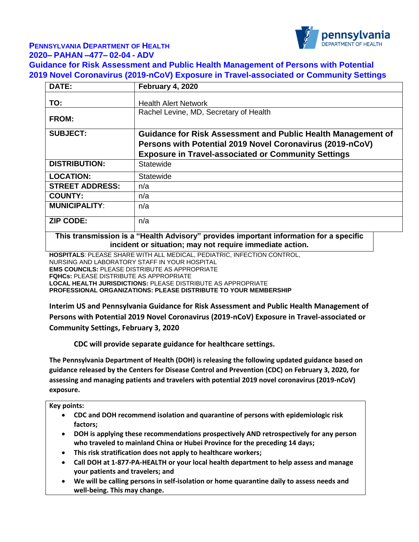

## **PENNSYLVANIA DEPARTMENT OF HEALTH 2020– PAHAN –477– 02-04 - ADV Guidance for Risk Assessment and Public Health Management of Persons with Potential 2019 Novel Coronavirus (2019-nCoV) Exposure in Travel-associated or Community Settings**

| DATE:                  | February 4, 2020                                                                                                                                                                        |  |
|------------------------|-----------------------------------------------------------------------------------------------------------------------------------------------------------------------------------------|--|
| TO:                    | <b>Health Alert Network</b>                                                                                                                                                             |  |
| <b>FROM:</b>           | Rachel Levine, MD, Secretary of Health                                                                                                                                                  |  |
| <b>SUBJECT:</b>        | Guidance for Risk Assessment and Public Health Management of<br>Persons with Potential 2019 Novel Coronavirus (2019-nCoV)<br><b>Exposure in Travel-associated or Community Settings</b> |  |
| <b>DISTRIBUTION:</b>   | Statewide                                                                                                                                                                               |  |
| <b>LOCATION:</b>       | <b>Statewide</b>                                                                                                                                                                        |  |
| <b>STREET ADDRESS:</b> | n/a                                                                                                                                                                                     |  |
| <b>COUNTY:</b>         | n/a                                                                                                                                                                                     |  |
| <b>MUNICIPALITY:</b>   | n/a                                                                                                                                                                                     |  |
| <b>ZIP CODE:</b>       | n/a                                                                                                                                                                                     |  |

**This transmission is a "Health Advisory" provides important information for a specific incident or situation; may not require immediate action.**

**HOSPITALS**: PLEASE SHARE WITH ALL MEDICAL, PEDIATRIC, INFECTION CONTROL, NURSING AND LABORATORY STAFF IN YOUR HOSPITAL **EMS COUNCILS:** PLEASE DISTRIBUTE AS APPROPRIATE **FQHCs:** PLEASE DISTRIBUTE AS APPROPRIATE **LOCAL HEALTH JURISDICTIONS:** PLEASE DISTRIBUTE AS APPROPRIATE **PROFESSIONAL ORGANIZATIONS: PLEASE DISTRIBUTE TO YOUR MEMBERSHIP**

**Interim US and Pennsylvania Guidance for Risk Assessment and Public Health Management of Persons with Potential 2019 Novel Coronavirus (2019-nCoV) Exposure in Travel-associated or Community Settings, February 3, 2020**

**CDC will provide separate guidance for healthcare settings.**

**The Pennsylvania Department of Health (DOH) is releasing the following updated guidance based on guidance released by the Centers for Disease Control and Prevention (CDC) on February 3, 2020, for assessing and managing patients and travelers with potential 2019 novel coronavirus (2019-nCoV) exposure.**

**Key points:**

- **CDC and DOH recommend isolation and quarantine of persons with epidemiologic risk factors;**
- **DOH is applying these recommendations prospectively AND retrospectively for any person who traveled to mainland China or Hubei Province for the preceding 14 days;**
- **This risk stratification does not apply to healthcare workers;**
- **Call DOH at 1-877-PA-HEALTH or your local health department to help assess and manage your patients and travelers; and**
- **We will be calling persons in self-isolation or home quarantine daily to assess needs and well-being. This may change.**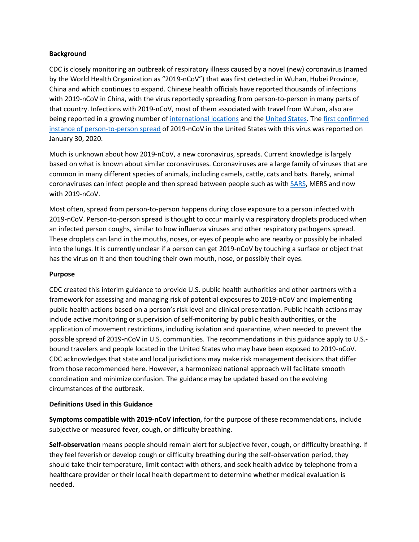#### **Background**

CDC is closely monitoring an outbreak of respiratory illness caused by a novel (new) coronavirus (named by the World Health Organization as "2019-nCoV") that was first detected in Wuhan, Hubei Province, China and which continues to expand. Chinese health officials have reported thousands of infections with 2019-nCoV in China, with the virus reportedly spreading from person-to-person in many parts of that country. Infections with 2019-nCoV, most of them associated with travel from Wuhan, also are being reported in a growing number of [international locations](https://www.cdc.gov/coronavirus/2019-ncov/locations-confirmed-cases.html#map) and the [United States.](https://www.cdc.gov/coronavirus/2019-ncov/cases-in-us.html) Th[e first confirmed](https://www.cdc.gov/media/releases/2020/p0130-coronavirus-spread.html)  [instance of person-to-person spread](https://www.cdc.gov/media/releases/2020/p0130-coronavirus-spread.html) of 2019-nCoV in the United States with this virus was reported on January 30, 2020.

Much is unknown about how 2019-nCoV, a new coronavirus, spreads. Current knowledge is largely based on what is known about similar coronaviruses. Coronaviruses are a large family of viruses that are common in many different species of animals, including camels, cattle, cats and bats. Rarely, animal coronaviruses can infect people and then spread between people such as wit[h SARS,](https://www.cdc.gov/sars/index.html) MERS and now with 2019-nCoV.

Most often, spread from person-to-person happens during close exposure to a person infected with 2019-nCoV. Person-to-person spread is thought to occur mainly via respiratory droplets produced when an infected person coughs, similar to how influenza viruses and other respiratory pathogens spread. These droplets can land in the mouths, noses, or eyes of people who are nearby or possibly be inhaled into the lungs. It is currently unclear if a person can get 2019-nCoV by touching a surface or object that has the virus on it and then touching their own mouth, nose, or possibly their eyes.

#### **Purpose**

CDC created this interim guidance to provide U.S. public health authorities and other partners with a framework for assessing and managing risk of potential exposures to 2019-nCoV and implementing public health actions based on a person's risk level and clinical presentation. Public health actions may include active monitoring or supervision of self-monitoring by public health authorities, or the application of movement restrictions, including isolation and quarantine, when needed to prevent the possible spread of 2019-nCoV in U.S. communities. The recommendations in this guidance apply to U.S. bound travelers and people located in the United States who may have been exposed to 2019-nCoV. CDC acknowledges that state and local jurisdictions may make risk management decisions that differ from those recommended here. However, a harmonized national approach will facilitate smooth coordination and minimize confusion. The guidance may be updated based on the evolving circumstances of the outbreak.

### **Definitions Used in this Guidance**

**Symptoms compatible with 2019-nCoV infection**, for the purpose of these recommendations, include subjective or measured fever, cough, or difficulty breathing.

**Self-observation** means people should remain alert for subjective fever, cough, or difficulty breathing. If they feel feverish or develop cough or difficulty breathing during the self-observation period, they should take their temperature, limit contact with others, and seek health advice by telephone from a healthcare provider or their local health department to determine whether medical evaluation is needed.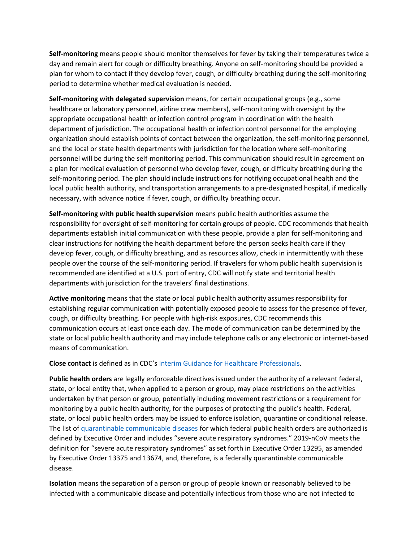**Self-monitoring** means people should monitor themselves for fever by taking their temperatures twice a day and remain alert for cough or difficulty breathing. Anyone on self-monitoring should be provided a plan for whom to contact if they develop fever, cough, or difficulty breathing during the self-monitoring period to determine whether medical evaluation is needed.

**Self-monitoring with delegated supervision** means, for certain occupational groups (e.g., some healthcare or laboratory personnel, airline crew members), self-monitoring with oversight by the appropriate occupational health or infection control program in coordination with the health department of jurisdiction. The occupational health or infection control personnel for the employing organization should establish points of contact between the organization, the self-monitoring personnel, and the local or state health departments with jurisdiction for the location where self-monitoring personnel will be during the self-monitoring period. This communication should result in agreement on a plan for medical evaluation of personnel who develop fever, cough, or difficulty breathing during the self-monitoring period. The plan should include instructions for notifying occupational health and the local public health authority, and transportation arrangements to a pre-designated hospital, if medically necessary, with advance notice if fever, cough, or difficulty breathing occur.

**Self-monitoring with public health supervision** means public health authorities assume the responsibility for oversight of self-monitoring for certain groups of people. CDC recommends that health departments establish initial communication with these people, provide a plan for self-monitoring and clear instructions for notifying the health department before the person seeks health care if they develop fever, cough, or difficulty breathing, and as resources allow, check in intermittently with these people over the course of the self-monitoring period. If travelers for whom public health supervision is recommended are identified at a U.S. port of entry, CDC will notify state and territorial health departments with jurisdiction for the travelers' final destinations.

**Active monitoring** means that the state or local public health authority assumes responsibility for establishing regular communication with potentially exposed people to assess for the presence of fever, cough, or difficulty breathing. For people with high-risk exposures, CDC recommends this communication occurs at least once each day. The mode of communication can be determined by the state or local public health authority and may include telephone calls or any electronic or internet-based means of communication.

## **Close contact** is defined as in CDC's [Interim Guidance for Healthcare Professionals.](https://www.cdc.gov/coronavirus/2019-nCoV/hcp/clinical-criteria.html)

**Public health orders** are legally enforceable directives issued under the authority of a relevant federal, state, or local entity that, when applied to a person or group, may place restrictions on the activities undertaken by that person or group, potentially including movement restrictions or a requirement for monitoring by a public health authority, for the purposes of protecting the public's health. Federal, state, or local public health orders may be issued to enforce isolation, quarantine or conditional release. The list of [quarantinable communicable diseases](https://www.cdc.gov/quarantine/aboutlawsregulationsquarantineisolation.html) for which federal public health orders are authorized is defined by Executive Order and includes "severe acute respiratory syndromes." 2019-nCoV meets the definition for "severe acute respiratory syndromes" as set forth in Executive Order 13295, as amended by Executive Order 13375 and 13674, and, therefore, is a federally quarantinable communicable disease.

**Isolation** means the separation of a person or group of people known or reasonably believed to be infected with a communicable disease and potentially infectious from those who are not infected to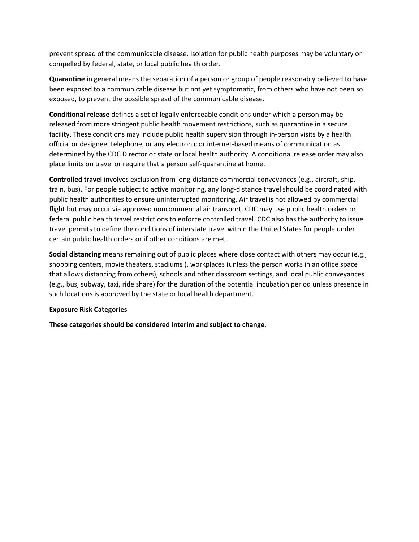prevent spread of the communicable disease. Isolation for public health purposes may be voluntary or compelled by federal, state, or local public health order.

**Quarantine** in general means the separation of a person or group of people reasonably believed to have been exposed to a communicable disease but not yet symptomatic, from others who have not been so exposed, to prevent the possible spread of the communicable disease.

**Conditional release** defines a set of legally enforceable conditions under which a person may be released from more stringent public health movement restrictions, such as quarantine in a secure facility. These conditions may include public health supervision through in-person visits by a health official or designee, telephone, or any electronic or internet-based means of communication as determined by the CDC Director or state or local health authority. A conditional release order may also place limits on travel or require that a person self-quarantine at home.

**Controlled travel** involves exclusion from long-distance commercial conveyances (e.g., aircraft, ship, train, bus). For people subject to active monitoring, any long-distance travel should be coordinated with public health authorities to ensure uninterrupted monitoring. Air travel is not allowed by commercial flight but may occur via approved noncommercial air transport. CDC may use public health orders or federal public health travel restrictions to enforce controlled travel. CDC also has the authority to issue travel permits to define the conditions of interstate travel within the United States for people under certain public health orders or if other conditions are met.

**Social distancing** means remaining out of public places where close contact with others may occur (e.g., shopping centers, movie theaters, stadiums ), workplaces (unless the person works in an office space that allows distancing from others), schools and other classroom settings, and local public conveyances (e.g., bus, subway, taxi, ride share) for the duration of the potential incubation period unless presence in such locations is approved by the state or local health department.

### **Exposure Risk Categories**

**These categories should be considered interim and subject to change.**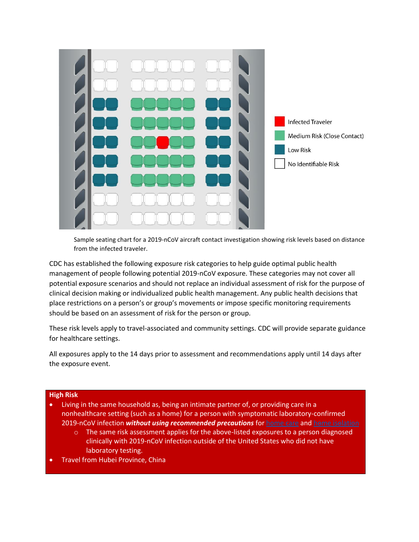

Sample seating chart for a 2019-nCoV aircraft contact investigation showing risk levels based on distance from the infected traveler.

CDC has established the following exposure risk categories to help guide optimal public health management of people following potential 2019-nCoV exposure. These categories may not cover all potential exposure scenarios and should not replace an individual assessment of risk for the purpose of clinical decision making or individualized public health management. Any public health decisions that place restrictions on a person's or group's movements or impose specific monitoring requirements should be based on an assessment of risk for the person or group.

These risk levels apply to travel-associated and community settings. CDC will provide separate guidance for healthcare settings.

All exposures apply to the 14 days prior to assessment and recommendations apply until 14 days after the exposure event.

### **High Risk**

- Living in the same household as, being an intimate partner of, or providing care in a nonhealthcare setting (such as a home) for a person with symptomatic laboratory-confirmed 2019-nCoV infection *without using recommended precautions* for [home care](https://www.cdc.gov/coronavirus/2019-ncov/hcp/guidance-home-care.html) and [home isolation](https://www.cdc.gov/coronavirus/2019-ncov/hcp/guidance-prevent-spread.html)
	- o The same risk assessment applies for the above-listed exposures to a person diagnosed clinically with 2019-nCoV infection outside of the United States who did not have laboratory testing.
- **•** Travel from Hubei Province, China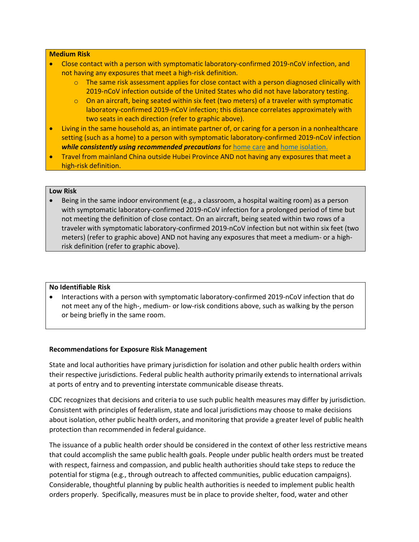#### **Medium Risk**

- Close contact with a person with symptomatic laboratory-confirmed 2019-nCoV infection, and not having any exposures that meet a high-risk definition.
	- $\circ$  The same risk assessment applies for close contact with a person diagnosed clinically with 2019-nCoV infection outside of the United States who did not have laboratory testing.
	- $\circ$  On an aircraft, being seated within six feet (two meters) of a traveler with symptomatic laboratory-confirmed 2019-nCoV infection; this distance correlates approximately with two seats in each direction (refer to graphic above).
- Living in the same household as, an intimate partner of, or caring for a person in a nonhealthcare setting (such as a home) to a person with symptomatic laboratory-confirmed 2019-nCoV infection *while consistently using recommended precautions* fo[r home care](https://www.cdc.gov/coronavirus/2019-ncov/hcp/guidance-home-care.html) and [home isolation.](https://www.cdc.gov/coronavirus/2019-ncov/hcp/guidance-prevent-spread.html)
- Travel from mainland China outside Hubei Province AND not having any exposures that meet a high-risk definition.

#### **Low Risk**

 Being in the same indoor environment (e.g., a classroom, a hospital waiting room) as a person with symptomatic laboratory-confirmed 2019-nCoV infection for a prolonged period of time but not meeting the definition of close contact. On an aircraft, being seated within two rows of a traveler with symptomatic laboratory-confirmed 2019-nCoV infection but not within six feet (two meters) (refer to graphic above) AND not having any exposures that meet a medium- or a highrisk definition (refer to graphic above).

#### **No Identifiable Risk**

 Interactions with a person with symptomatic laboratory-confirmed 2019-nCoV infection that do not meet any of the high-, medium- or low-risk conditions above, such as walking by the person or being briefly in the same room.

### **Recommendations for Exposure Risk Management**

State and local authorities have primary jurisdiction for isolation and other public health orders within their respective jurisdictions. Federal public health authority primarily extends to international arrivals at ports of entry and to preventing interstate communicable disease threats.

CDC recognizes that decisions and criteria to use such public health measures may differ by jurisdiction. Consistent with principles of federalism, state and local jurisdictions may choose to make decisions about isolation, other public health orders, and monitoring that provide a greater level of public health protection than recommended in federal guidance.

The issuance of a public health order should be considered in the context of other less restrictive means that could accomplish the same public health goals. People under public health orders must be treated with respect, fairness and compassion, and public health authorities should take steps to reduce the potential for stigma (e.g., through outreach to affected communities, public education campaigns). Considerable, thoughtful planning by public health authorities is needed to implement public health orders properly. Specifically, measures must be in place to provide shelter, food, water and other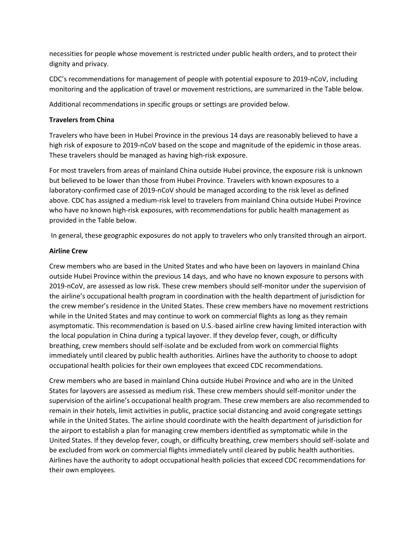necessities for people whose movement is restricted under public health orders, and to protect their dignity and privacy.

CDC's recommendations for management of people with potential exposure to 2019-nCoV, including monitoring and the application of travel or movement restrictions, are summarized in the Table below.

Additional recommendations in specific groups or settings are provided below.

## **Travelers from China**

Travelers who have been in Hubei Province in the previous 14 days are reasonably believed to have a high risk of exposure to 2019-nCoV based on the scope and magnitude of the epidemic in those areas. These travelers should be managed as having high-risk exposure.

For most travelers from areas of mainland China outside Hubei province, the exposure risk is unknown but believed to be lower than those from Hubei Province. Travelers with known exposures to a laboratory-confirmed case of 2019-nCoV should be managed according to the risk level as defined above. CDC has assigned a medium-risk level to travelers from mainland China outside Hubei Province who have no known high-risk exposures, with recommendations for public health management as provided in the Table below.

In general, these geographic exposures do not apply to travelers who only transited through an airport.

### **Airline Crew**

Crew members who are based in the United States and who have been on layovers in mainland China outside Hubei Province within the previous 14 days, and who have no known exposure to persons with 2019-nCoV, are assessed as low risk. These crew members should self-monitor under the supervision of the airline's occupational health program in coordination with the health department of jurisdiction for the crew member's residence in the United States. These crew members have no movement restrictions while in the United States and may continue to work on commercial flights as long as they remain asymptomatic. This recommendation is based on U.S.-based airline crew having limited interaction with the local population in China during a typical layover. If they develop fever, cough, or difficulty breathing, crew members should self-isolate and be excluded from work on commercial flights immediately until cleared by public health authorities. Airlines have the authority to choose to adopt occupational health policies for their own employees that exceed CDC recommendations.

Crew members who are based in mainland China outside Hubei Province and who are in the United States for layovers are assessed as medium risk. These crew members should self-monitor under the supervision of the airline's occupational health program. These crew members are also recommended to remain in their hotels, limit activities in public, practice social distancing and avoid congregate settings while in the United States. The airline should coordinate with the health department of jurisdiction for the airport to establish a plan for managing crew members identified as symptomatic while in the United States. If they develop fever, cough, or difficulty breathing, crew members should self-isolate and be excluded from work on commercial flights immediately until cleared by public health authorities. Airlines have the authority to adopt occupational health policies that exceed CDC recommendations for their own employees.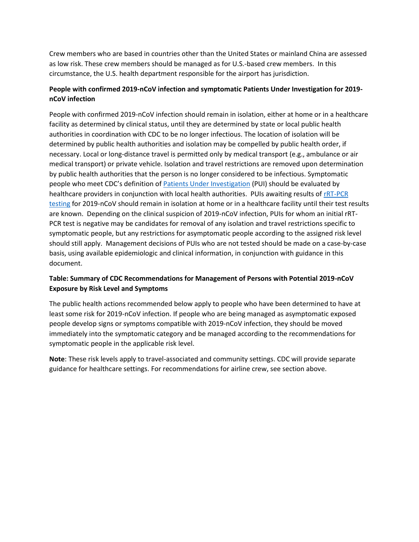Crew members who are based in countries other than the United States or mainland China are assessed as low risk. These crew members should be managed as for U.S.-based crew members. In this circumstance, the U.S. health department responsible for the airport has jurisdiction.

## **People with confirmed 2019-nCoV infection and symptomatic Patients Under Investigation for 2019 nCoV infection**

People with confirmed 2019-nCoV infection should remain in isolation, either at home or in a healthcare facility as determined by clinical status, until they are determined by state or local public health authorities in coordination with CDC to be no longer infectious. The location of isolation will be determined by public health authorities and isolation may be compelled by public health order, if necessary. Local or long-distance travel is permitted only by medical transport (e.g., ambulance or air medical transport) or private vehicle. Isolation and travel restrictions are removed upon determination by public health authorities that the person is no longer considered to be infectious. Symptomatic people who meet CDC's definition of [Patients Under Investigation](https://www.cdc.gov/coronavirus/2019-nCoV/hcp/clinical-criteria.html) (PUI) should be evaluated by healthcare providers in conjunction with local health authorities. PUIs awaiting results of [rRT-PCR](https://www.cdc.gov/coronavirus/2019-nCoV/lab/index.html)  [testing](https://www.cdc.gov/coronavirus/2019-nCoV/lab/index.html) for 2019-nCoV should remain in isolation at home or in a healthcare facility until their test results are known. Depending on the clinical suspicion of 2019-nCoV infection, PUIs for whom an initial rRT-PCR test is negative may be candidates for removal of any isolation and travel restrictions specific to symptomatic people, but any restrictions for asymptomatic people according to the assigned risk level should still apply. Management decisions of PUIs who are not tested should be made on a case-by-case basis, using available epidemiologic and clinical information, in conjunction with guidance in this document.

# **Table: Summary of CDC Recommendations for Management of Persons with Potential 2019-nCoV Exposure by Risk Level and Symptoms**

The public health actions recommended below apply to people who have been determined to have at least some risk for 2019-nCoV infection. If people who are being managed as asymptomatic exposed people develop signs or symptoms compatible with 2019-nCoV infection, they should be moved immediately into the symptomatic category and be managed according to the recommendations for symptomatic people in the applicable risk level.

**Note**: These risk levels apply to travel-associated and community settings. CDC will provide separate guidance for healthcare settings. For recommendations for airline crew, see section above.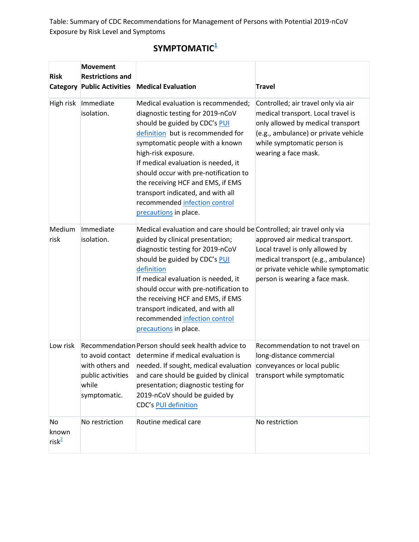Table: Summary of CDC Recommendations for Management of Persons with Potential 2019-nCoV Exposure by Risk Level and Symptoms

# **SYMPTOMATIC[1](https://www.cdc.gov/coronavirus/2019-ncov/php/risk-assessment.html#foot01)**

| <b>Risk</b>                       | <b>Movement</b><br><b>Restrictions and</b><br><b>Category Public Activities</b>   | <b>Medical Evaluation</b>                                                                                                                                                                                                                                                                                                                                                                                                  | <b>Travel</b>                                                                                                                                                                                                 |
|-----------------------------------|-----------------------------------------------------------------------------------|----------------------------------------------------------------------------------------------------------------------------------------------------------------------------------------------------------------------------------------------------------------------------------------------------------------------------------------------------------------------------------------------------------------------------|---------------------------------------------------------------------------------------------------------------------------------------------------------------------------------------------------------------|
|                                   | High risk   Immediate<br>isolation.                                               | Medical evaluation is recommended;<br>diagnostic testing for 2019-nCoV<br>should be guided by CDC's PUI<br>definition but is recommended for<br>symptomatic people with a known<br>high-risk exposure.<br>If medical evaluation is needed, it<br>should occur with pre-notification to<br>the receiving HCF and EMS, if EMS<br>transport indicated, and with all<br>recommended infection control<br>precautions in place. | Controlled; air travel only via air<br>medical transport. Local travel is<br>only allowed by medical transport<br>(e.g., ambulance) or private vehicle<br>while symptomatic person is<br>wearing a face mask. |
| Medium<br>risk                    | Immediate<br>isolation.                                                           | Medical evaluation and care should be Controlled; air travel only via<br>guided by clinical presentation;<br>diagnostic testing for 2019-nCoV<br>should be guided by CDC's PUI<br>definition<br>If medical evaluation is needed, it<br>should occur with pre-notification to<br>the receiving HCF and EMS, if EMS<br>transport indicated, and with all<br>recommended infection control<br>precautions in place.           | approved air medical transport.<br>Local travel is only allowed by<br>medical transport (e.g., ambulance)<br>or private vehicle while symptomatic<br>person is wearing a face mask.                           |
| Low risk                          | to avoid contact<br>with others and<br>public activities<br>while<br>symptomatic. | Recommendation Person should seek health advice to<br>determine if medical evaluation is<br>needed. If sought, medical evaluation conveyances or local public<br>and care should be guided by clinical<br>presentation; diagnostic testing for<br>2019-nCoV should be guided by<br>CDC's PUI definition                                                                                                                    | Recommendation to not travel on<br>long-distance commercial<br>transport while symptomatic                                                                                                                    |
| No<br>known<br>risk $\frac{2}{3}$ | No restriction                                                                    | Routine medical care                                                                                                                                                                                                                                                                                                                                                                                                       | No restriction                                                                                                                                                                                                |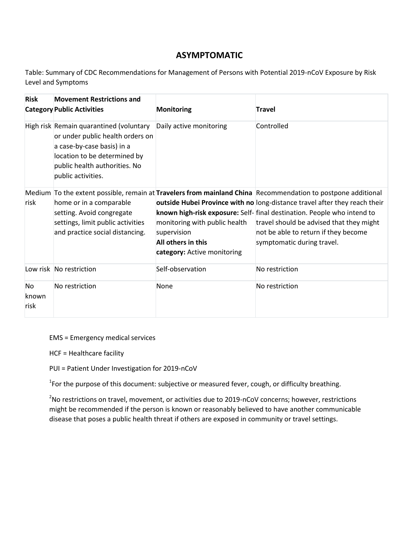# **ASYMPTOMATIC**

Table: Summary of CDC Recommendations for Management of Persons with Potential 2019-nCoV Exposure by Risk Level and Symptoms

| <b>Risk</b>         | <b>Movement Restrictions and</b><br><b>Category Public Activities</b>                                                                                                                            | <b>Monitoring</b>                                                                                 | <b>Travel</b>                                                                                                                                                                                                                                                                                                                                                                           |
|---------------------|--------------------------------------------------------------------------------------------------------------------------------------------------------------------------------------------------|---------------------------------------------------------------------------------------------------|-----------------------------------------------------------------------------------------------------------------------------------------------------------------------------------------------------------------------------------------------------------------------------------------------------------------------------------------------------------------------------------------|
|                     | High risk Remain quarantined (voluntary<br>or under public health orders on<br>a case-by-case basis) in a<br>location to be determined by<br>public health authorities. No<br>public activities. | Daily active monitoring                                                                           | Controlled                                                                                                                                                                                                                                                                                                                                                                              |
| risk                | home or in a comparable<br>setting. Avoid congregate<br>settings, limit public activities<br>and practice social distancing.                                                                     | monitoring with public health<br>supervision<br>All others in this<br>category: Active monitoring | Medium To the extent possible, remain at Travelers from mainland China Recommendation to postpone additional<br>outside Hubei Province with no long-distance travel after they reach their<br>known high-risk exposure: Self- final destination. People who intend to<br>travel should be advised that they might<br>not be able to return if they become<br>symptomatic during travel. |
|                     | Low risk No restriction                                                                                                                                                                          | Self-observation                                                                                  | No restriction                                                                                                                                                                                                                                                                                                                                                                          |
| No<br>known<br>risk | No restriction                                                                                                                                                                                   | None                                                                                              | No restriction                                                                                                                                                                                                                                                                                                                                                                          |

EMS = Emergency medical services

HCF = Healthcare facility

PUI = Patient Under Investigation for 2019-nCoV

 $^{1}$ For the purpose of this document: subjective or measured fever, cough, or difficulty breathing.

<sup>2</sup>No restrictions on travel, movement, or activities due to 2019-nCoV concerns; however, restrictions might be recommended if the person is known or reasonably believed to have another communicable disease that poses a public health threat if others are exposed in community or travel settings.